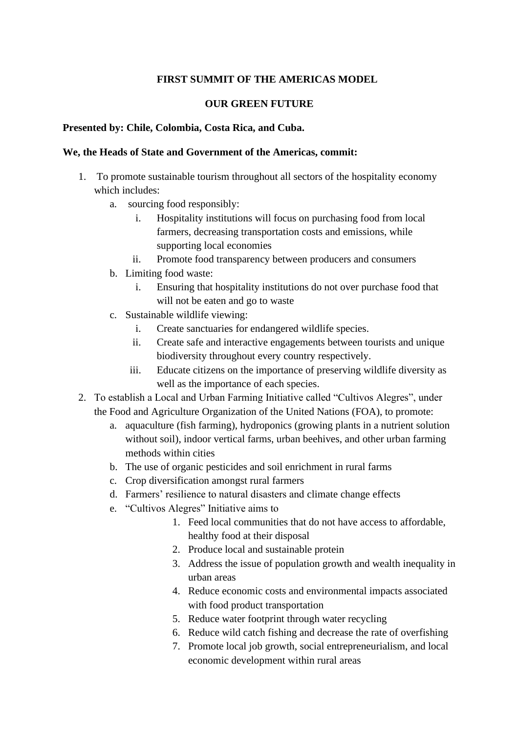# **FIRST SUMMIT OF THE AMERICAS MODEL**

### **OUR GREEN FUTURE**

#### **Presented by: Chile, Colombia, Costa Rica, and Cuba.**

#### **We, the Heads of State and Government of the Americas, commit:**

- 1. To promote sustainable tourism throughout all sectors of the hospitality economy which includes:
	- a. sourcing food responsibly:
		- i. Hospitality institutions will focus on purchasing food from local farmers, decreasing transportation costs and emissions, while supporting local economies
		- ii. Promote food transparency between producers and consumers
	- b. Limiting food waste:
		- i. Ensuring that hospitality institutions do not over purchase food that will not be eaten and go to waste
	- c. Sustainable wildlife viewing:
		- i. Create sanctuaries for endangered wildlife species.
		- ii. Create safe and interactive engagements between tourists and unique biodiversity throughout every country respectively.
		- iii. Educate citizens on the importance of preserving wildlife diversity as well as the importance of each species.
- 2. To establish a Local and Urban Farming Initiative called "Cultivos Alegres", under the Food and Agriculture Organization of the United Nations (FOA), to promote:
	- a. aquaculture (fish farming), hydroponics (growing plants in a nutrient solution without soil), indoor vertical farms, urban beehives, and other urban farming methods within cities
	- b. The use of organic pesticides and soil enrichment in rural farms
	- c. Crop diversification amongst rural farmers
	- d. Farmers' resilience to natural disasters and climate change effects
	- e. "Cultivos Alegres" Initiative aims to
		- 1. Feed local communities that do not have access to affordable, healthy food at their disposal
		- 2. Produce local and sustainable protein
		- 3. Address the issue of population growth and wealth inequality in urban areas
		- 4. Reduce economic costs and environmental impacts associated with food product transportation
		- 5. Reduce water footprint through water recycling
		- 6. Reduce wild catch fishing and decrease the rate of overfishing
		- 7. Promote local job growth, social entrepreneurialism, and local economic development within rural areas